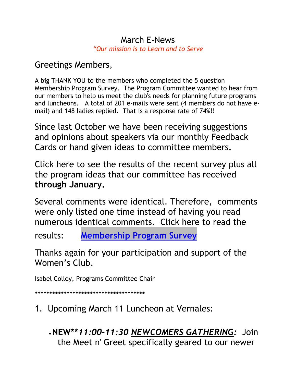### March E-News *"Our mission is to Learn and to Serve*

## Greetings Members,

A big THANK YOU to the members who completed the 5 question Membership Program Survey. The Program Committee wanted to hear from our members to help us meet the club's needs for planning future programs and luncheons. A total of 201 e-mails were sent (4 members do not have email) and 148 ladies replied. That is a response rate of 74%!!

Since last October we have been receiving suggestions and opinions about speakers via our monthly Feedback Cards or hand given ideas to committee members.

Click here to see the results of the recent survey plus all the program ideas that our committee has received **through January.**

Several comments were identical. Therefore, comments were only listed one time instead of having you read numerous identical comments. Click here to read the

results: **Membership Program Survey**

Thanks again for your participation and support of the Women's Club.

Isabel Colley, Programs Committee Chair

**\*\*\*\*\*\*\*\*\*\*\*\*\*\*\*\*\*\*\*\*\*\*\*\*\*\*\*\*\*\*\*\*\*\*\*\*\*\***

- 1. Upcoming March 11 Luncheon at Vernales:
	- •**NEW\*\****11:00-11:30 NEWCOMERS GATHERING:* Join the Meet n' Greet specifically geared to our newer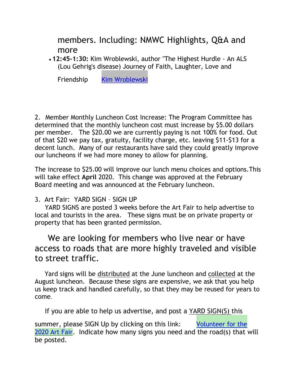members. Including: NMWC Highlights, Q&A and more

• **12:45-1:30:** Kim Wroblewski, author "The Highest Hurdle - An ALS (Lou Gehrig's disease) Journey of Faith, Laughter, Love and

Friendship [Kim Wroblewski](https://thehighesthurdle-kimwroblewski.com/)

2. Member Monthly Luncheon Cost Increase: The Program Committee has determined that the monthly luncheon cost must increase by \$5.00 dollars per member. The \$20.00 we are currently paying is not 100% for food. Out of that \$20 we pay tax, gratuity, facility charge, etc. leaving \$11-\$13 for a decent lunch. Many of our restaurants have said they could greatly improve our luncheons if we had more money to allow for planning.

The increase to \$25.00 will improve our lunch menu choices and options.This will take effect **April** 2020. This change was approved at the February Board meeting and was announced at the February luncheon.

#### 3. Art Fair: YARD SIGN – SIGN UP

YARD SIGNS are posted 3 weeks before the Art Fair to help advertise to local and tourists in the area. These signs must be on private property or property that has been granted permission.

## We are looking for members who live near or have access to roads that are more highly traveled and visible to street traffic.

Yard signs will be distributed at the June luncheon and collected at the August luncheon. Because these signs are expensive, we ask that you help us keep track and handled carefully, so that they may be reused for years to come.

If you are able to help us advertise, and post a YARD SIGN(S) this

summer, please SIGN Up by clicking on this link: Volunteer for the 2020 Art Fair. Indicate how many signs you need and the road(s) that will be posted.